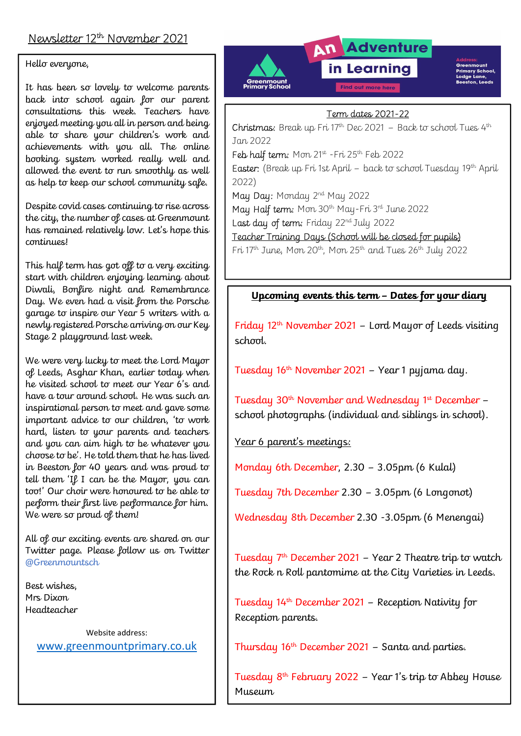## Hello everyone,

It has been so lovely to welcome parents back into school again for our parent consultations this week. Teachers have enjoyed meeting you all in person and being able to share your children's work and achievements with you all. The online booking system worked really well and allowed the event to run smoothly as well as help to keep our school community safe.

I

Despite covid cases continuing to rise across the city, the number of cases at Greenmount has remained relatively low. Let's hope this continues!

This half term has got off to a very exciting start with children enjoying learning about Diwali, Bonfire night and Remembrance Day. We even had a visit from the Porsche garage to inspire our Year 5 writers with a newly registered Porsche arriving on our Key Stage 2 playground last week.

We were very lucky to meet the Lord Mayor of Leeds, Asghar Khan, earlier today when he visited school to meet our Year 6's and have a tour around school. He was such an inspirational person to meet and gave some important advice to our children, 'to work hard, listen to your parents and teachers and you can aim high to be whatever you choose to be'. He told them that he has lived in Beeston for 40 years and was proud to tell them 'If I can be the Mayor, you can too!' Our choir were honoured to be able to perform their first live performance for him. We were so proud of them!

All of our exciting events are shared on our Twitter page. Please follow us on Twitter @Greenmountsch

Best wishes, Mrs Dixon Headteacher

> Website address: www.greenmountprimary.co.uk



### Term dates 2021-22

**Christmas:** Break up Fri 17<sup>th</sup> Dec 2021 – Back to school Tues 4<sup>th</sup> Jan 2022 Feb half term: Mon 21<sup>st</sup> - Fri 25<sup>th</sup> Feb 2022 Easter: (Break up Fri 1st April – back to school Tuesday 19th April 2022) May Day: Monday 2<sup>nd</sup> May 2022 May Half term: Mon 30<sup>th</sup> May-Fri 3<sup>rd</sup> June 2022 Last day of term: Friday 22<sup>nd</sup> July 2022 Teacher Training Days (School will be closed for pupils) Fri  $17^{th}$  June, Mon  $20^{th}$ , Mon  $25^{th}$  and Tues  $26^{th}$  July  $2022$ 

## Upcoming events this term – Dates for your diary

Friday 12th November 2021 – Lord Mayor of Leeds visiting school.

Tuesday 16th November 2021 – Year 1 pyjama day.

Tuesday 30<sup>th</sup> November and Wednesday 1<sup>st</sup> December school photographs (individual and siblings in school).

Year 6 parent's meetings:

Monday 6th December, 2.30 – 3.05pm (6 Kulal)

Tuesday 7th December 2.30 – 3.05pm (6 Longonot)

Wednesday 8th December 2.30 -3.05pm (6 Menengai)

Tuesday  $7<sup>th</sup>$  December 2021 – Year 2 Theatre trip to watch the Rock n Roll pantomime at the City Varieties in Leeds.

Tuesday 14th December 2021 – Reception Nativity for Reception parents.

Thursday 16th December 2021 – Santa and parties.

Tuesday  $8<sup>th</sup>$  February 2022 – Year 1's trip to Abbey House Museum